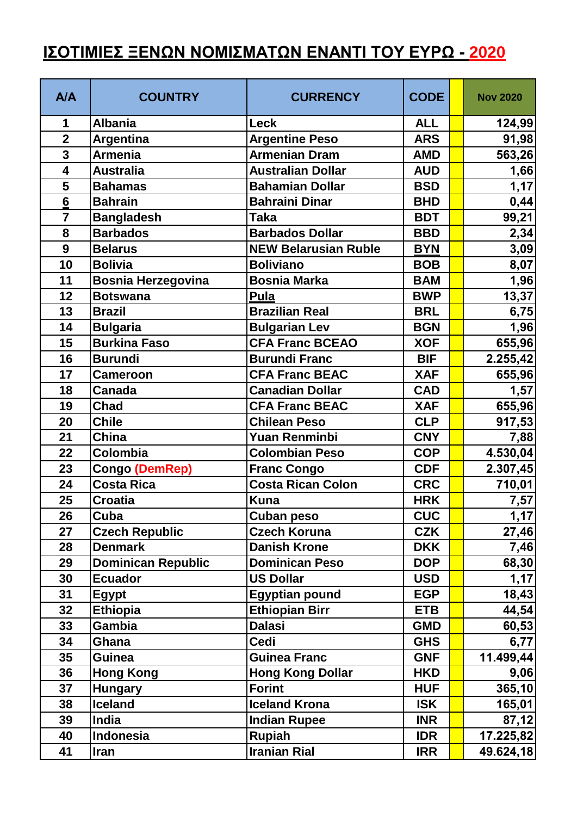## **ΙΣΟΤΙΜΙΕΣ ΞΕΝΩΝ ΝΟΜΙΣΜΑΤΩΝ ΕΝΑΝΤΙ ΤΟΥ ΕΥΡΩ - 2020**

| <b>A/A</b>              | <b>COUNTRY</b>            | <b>CURRENCY</b>             | <b>CODE</b> | <b>Nov 2020</b> |
|-------------------------|---------------------------|-----------------------------|-------------|-----------------|
| 1                       | <b>Albania</b>            | Leck                        | <b>ALL</b>  | 124,99          |
| $\overline{2}$          | <b>Argentina</b>          | <b>Argentine Peso</b>       | <b>ARS</b>  | 91,98           |
| $\overline{\mathbf{3}}$ | <b>Armenia</b>            | <b>Armenian Dram</b>        | <b>AMD</b>  | 563,26          |
| $\overline{\mathbf{4}}$ | <b>Australia</b>          | <b>Australian Dollar</b>    | <b>AUD</b>  | 1,66            |
| 5                       | <b>Bahamas</b>            | <b>Bahamian Dollar</b>      | <b>BSD</b>  | 1,17            |
| $6\phantom{1}6$         | <b>Bahrain</b>            | <b>Bahraini Dinar</b>       | <b>BHD</b>  | 0,44            |
| $\overline{7}$          | <b>Bangladesh</b>         | <b>Taka</b>                 | <b>BDT</b>  | 99,21           |
| 8                       | <b>Barbados</b>           | <b>Barbados Dollar</b>      | <b>BBD</b>  | 2,34            |
| 9                       | <b>Belarus</b>            | <b>NEW Belarusian Ruble</b> | <b>BYN</b>  | 3,09            |
| 10                      | <b>Bolivia</b>            | <b>Boliviano</b>            | <b>BOB</b>  | 8,07            |
| 11                      | Bosnia Herzegovina        | <b>Bosnia Marka</b>         | <b>BAM</b>  | 1,96            |
| 12                      | <b>Botswana</b>           | <b>Pula</b>                 | <b>BWP</b>  | 13,37           |
| 13                      | <b>Brazil</b>             | <b>Brazilian Real</b>       | <b>BRL</b>  | 6,75            |
| 14                      | <b>Bulgaria</b>           | <b>Bulgarian Lev</b>        | <b>BGN</b>  | 1,96            |
| 15                      | <b>Burkina Faso</b>       | <b>CFA Franc BCEAO</b>      | <b>XOF</b>  | 655,96          |
| 16                      | <b>Burundi</b>            | <b>Burundi Franc</b>        | <b>BIF</b>  | 2.255,42        |
| 17                      | <b>Cameroon</b>           | <b>CFA Franc BEAC</b>       | <b>XAF</b>  | 655,96          |
| 18                      | <b>Canada</b>             | <b>Canadian Dollar</b>      | <b>CAD</b>  | 1,57            |
| 19                      | <b>Chad</b>               | <b>CFA Franc BEAC</b>       | <b>XAF</b>  | 655,96          |
| 20                      | <b>Chile</b>              | <b>Chilean Peso</b>         | <b>CLP</b>  | 917,53          |
| 21                      | China                     | Yuan Renminbi               | <b>CNY</b>  | 7,88            |
| 22                      | Colombia                  | <b>Colombian Peso</b>       | <b>COP</b>  | 4.530,04        |
| 23                      | <b>Congo (DemRep)</b>     | <b>Franc Congo</b>          | <b>CDF</b>  | 2.307,45        |
| 24                      | <b>Costa Rica</b>         | <b>Costa Rican Colon</b>    | <b>CRC</b>  | 710,01          |
| 25                      | <b>Croatia</b>            | <b>Kuna</b>                 | <b>HRK</b>  | 7,57            |
| 26                      | Cuba                      | Cuban peso                  | <b>CUC</b>  | 1,17            |
| 27                      | <b>Czech Republic</b>     | <b>Czech Koruna</b>         | <b>CZK</b>  | 27,46           |
| 28                      | <b>Denmark</b>            | <b>Danish Krone</b>         | <b>DKK</b>  | 7,46            |
| 29                      | <b>Dominican Republic</b> | <b>Dominican Peso</b>       | <b>DOP</b>  | 68,30           |
| 30                      | <b>Ecuador</b>            | <b>US Dollar</b>            | <b>USD</b>  | 1,17            |
| 31                      | <b>Egypt</b>              | <b>Egyptian pound</b>       | <b>EGP</b>  | 18,43           |
| 32                      | <b>Ethiopia</b>           | <b>Ethiopian Birr</b>       | <b>ETB</b>  | 44,54           |
| 33                      | Gambia                    | <b>Dalasi</b>               | <b>GMD</b>  | 60,53           |
| 34                      | Ghana                     | <b>Cedi</b>                 | <b>GHS</b>  | 6,77            |
| 35                      | <b>Guinea</b>             | <b>Guinea Franc</b>         | <b>GNF</b>  | 11.499,44       |
| 36                      | <b>Hong Kong</b>          | <b>Hong Kong Dollar</b>     | <b>HKD</b>  | 9,06            |
| 37                      | <b>Hungary</b>            | <b>Forint</b>               | <b>HUF</b>  | 365,10          |
| 38                      | <b>Iceland</b>            | <b>Iceland Krona</b>        | <b>ISK</b>  | 165,01          |
| 39                      | <b>India</b>              | <b>Indian Rupee</b>         | <b>INR</b>  | 87,12           |
| 40                      | Indonesia                 | <b>Rupiah</b>               | <b>IDR</b>  | 17.225,82       |
| 41                      | <b>Iran</b>               | <b>Iranian Rial</b>         | <b>IRR</b>  | 49.624,18       |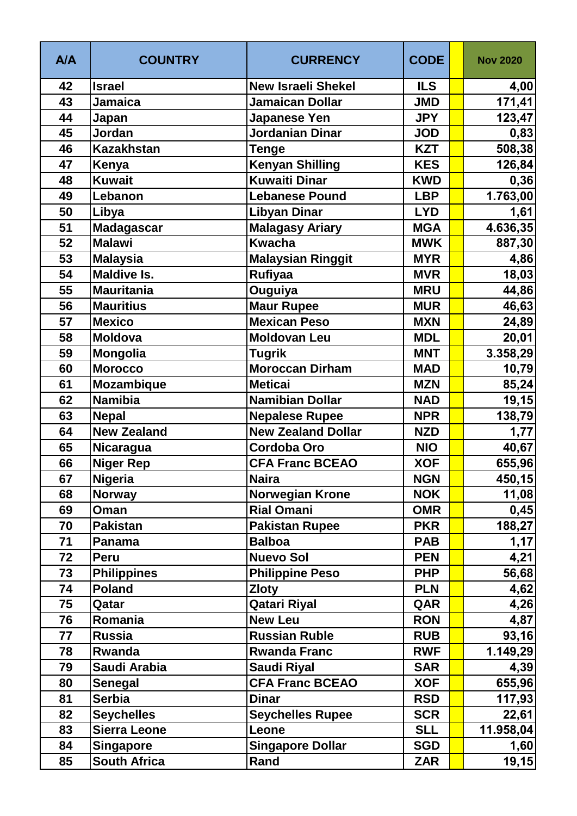| <b>A/A</b> | <b>COUNTRY</b>      | <b>CURRENCY</b>           | <b>CODE</b> | <b>Nov 2020</b> |
|------------|---------------------|---------------------------|-------------|-----------------|
| 42         | <b>Israel</b>       | <b>New Israeli Shekel</b> | <b>ILS</b>  | 4,00            |
| 43         | <b>Jamaica</b>      | Jamaican Dollar           | <b>JMD</b>  | 171,41          |
| 44         | Japan               | Japanese Yen              | <b>JPY</b>  | 123,47          |
| 45         | Jordan              | Jordanian Dinar           | <b>JOD</b>  | 0,83            |
| 46         | <b>Kazakhstan</b>   | Tenge                     | <b>KZT</b>  | 508,38          |
| 47         | Kenya               | <b>Kenyan Shilling</b>    | <b>KES</b>  | 126,84          |
| 48         | <b>Kuwait</b>       | <b>Kuwaiti Dinar</b>      | <b>KWD</b>  | 0,36            |
| 49         | Lebanon             | <b>Lebanese Pound</b>     | <b>LBP</b>  | 1.763,00        |
| 50         | Libya               | Libyan Dinar              | <b>LYD</b>  | 1,61            |
| 51         | Madagascar          | <b>Malagasy Ariary</b>    | <b>MGA</b>  | 4.636,35        |
| 52         | <b>Malawi</b>       | <b>Kwacha</b>             | <b>MWK</b>  | 887,30          |
| 53         | <b>Malaysia</b>     | <b>Malaysian Ringgit</b>  | <b>MYR</b>  | 4,86            |
| 54         | <b>Maldive Is.</b>  | <b>Rufiyaa</b>            | <b>MVR</b>  | 18,03           |
| 55         | <b>Mauritania</b>   | Ouguiya                   | <b>MRU</b>  | 44,86           |
| 56         | <b>Mauritius</b>    | Maur Rupee                | <b>MUR</b>  | 46,63           |
| 57         | <b>Mexico</b>       | <b>Mexican Peso</b>       | <b>MXN</b>  | 24,89           |
| 58         | <b>Moldova</b>      | <b>Moldovan Leu</b>       | <b>MDL</b>  | 20,01           |
| 59         | Mongolia            | <b>Tugrik</b>             | <b>MNT</b>  | 3.358,29        |
| 60         | <b>Morocco</b>      | <b>Moroccan Dirham</b>    | <b>MAD</b>  | 10,79           |
| 61         | <b>Mozambique</b>   | <b>Meticai</b>            | <b>MZN</b>  | 85,24           |
| 62         | <b>Namibia</b>      | <b>Namibian Dollar</b>    | <b>NAD</b>  | 19,15           |
| 63         | <b>Nepal</b>        | <b>Nepalese Rupee</b>     | <b>NPR</b>  | 138,79          |
| 64         | <b>New Zealand</b>  | <b>New Zealand Dollar</b> | <b>NZD</b>  | 1,77            |
| 65         | Nicaragua           | <b>Cordoba Oro</b>        | <b>NIO</b>  | 40,67           |
| 66         | <b>Niger Rep</b>    | <b>CFA Franc BCEAO</b>    | <b>XOF</b>  | 655,96          |
| 67         | <b>Nigeria</b>      | <b>Naira</b>              | <b>NGN</b>  | 450,15          |
| 68         | <b>Norway</b>       | <b>Norwegian Krone</b>    | <b>NOK</b>  | 11,08           |
| 69         | Oman                | <b>Rial Omani</b>         | <b>OMR</b>  | 0,45            |
| 70         | <b>Pakistan</b>     | <b>Pakistan Rupee</b>     | <b>PKR</b>  | 188,27          |
| 71         | Panama              | <b>Balboa</b>             | <b>PAB</b>  | 1,17            |
| 72         | Peru                | <b>Nuevo Sol</b>          | <b>PEN</b>  | 4,21            |
| 73         | <b>Philippines</b>  | <b>Philippine Peso</b>    | <b>PHP</b>  | 56,68           |
| 74         | <b>Poland</b>       | <b>Zloty</b>              | <b>PLN</b>  | 4,62            |
| 75         | Qatar               | <b>Qatari Riyal</b>       | QAR         | 4,26            |
| 76         | Romania             | <b>New Leu</b>            | <b>RON</b>  | 4,87            |
| 77         | <b>Russia</b>       | <b>Russian Ruble</b>      | <b>RUB</b>  | 93,16           |
| 78         | Rwanda              | <b>Rwanda Franc</b>       | <b>RWF</b>  | 1.149,29        |
| 79         | Saudi Arabia        | <b>Saudi Riyal</b>        | <b>SAR</b>  | 4,39            |
| 80         | <b>Senegal</b>      | <b>CFA Franc BCEAO</b>    | <b>XOF</b>  | 655,96          |
| 81         | <b>Serbia</b>       | <b>Dinar</b>              | <b>RSD</b>  | 117,93          |
| 82         | <b>Seychelles</b>   | <b>Seychelles Rupee</b>   | <b>SCR</b>  | 22,61           |
| 83         | <b>Sierra Leone</b> | Leone                     | <b>SLL</b>  | 11.958,04       |
| 84         | <b>Singapore</b>    | <b>Singapore Dollar</b>   | <b>SGD</b>  | 1,60            |
| 85         | <b>South Africa</b> | Rand                      | <b>ZAR</b>  | 19, 15          |